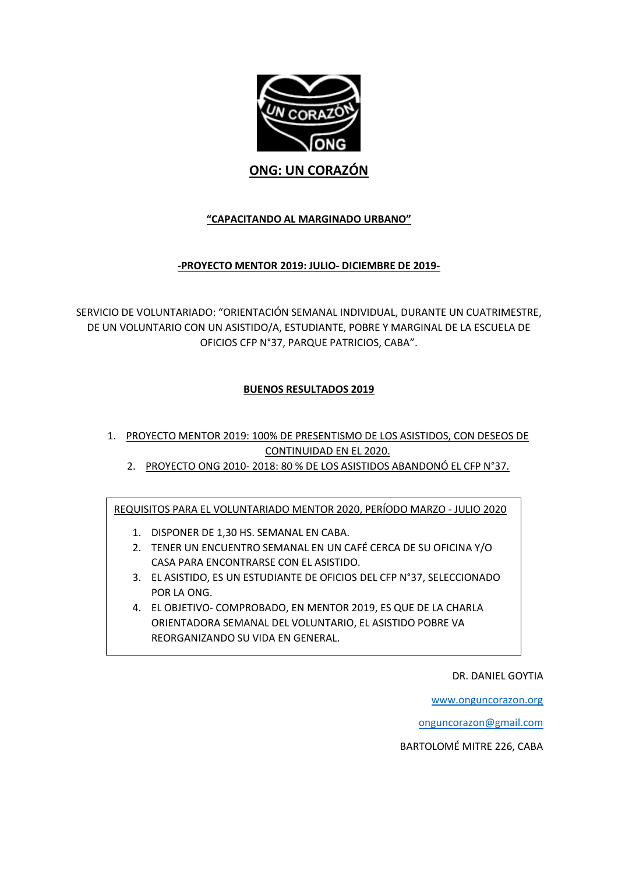

# **ONG: UN CORAZÓN**

# **"CAPACITANDO AL MARGINADO URBANO"**

# **-PROYECTO MENTOR 2019: JULIO- DICIEMBRE DE 2019-**

SERVICIO DE VOLUNTARIADO: "ORIENTACIÓN SEMANAL INDIVIDUAL, DURANTE UN CUATRIMESTRE, DE UN VOLUNTARIO CON UN ASISTIDO/A, ESTUDIANTE, POBRE Y MARGINAL DE LA ESCUELA DE OFICIOS CFP N°37, PARQUE PATRICIOS, CABA".

# **BUENOS RESULTADOS 2019**

- 1. PROYECTO MENTOR 2019: 100% DE PRESENTISMO DE LOS ASISTIDOS, CON DESEOS DE CONTINUIDAD EN EL 2020.
	- 2. PROYECTO ONG 2010-2018: 80 % DE LOS ASISTIDOS ABANDONÓ EL CFP N°37.

REQUISITOS PARA EL VOLUNTARIADO MENTOR 2020, PERÍODO MARZO - JULIO 2020

- 1. DISPONER DE 1,30 HS. SEMANAL EN CABA.
- 2. TENER UN ENCUENTRO SEMANAL EN UN CAFÉ CERCA DE SU OFICINA Y/O CASA PARA ENCONTRARSE CON EL ASISTIDO.
- 3. EL ASISTIDO, ES UN ESTUDIANTE DE OFICIOS DEL CFP N°37, SELECCIONADO POR LA ONG.
- 4. EL OBJETIVO- COMPROBADO, EN MENTOR 2019, ES QUE DE LA CHARLA ORIENTADORA SEMANAL DEL VOLUNTARIO, EL ASISTIDO POBRE VA REORGANIZANDO SU VIDA EN GENERAL.

DR. DANIEL GOYTIA

[www.onguncorazon.org](http://www.onguncorazon.org/)

[onguncorazon@gmail.com](mailto:onguncorazon@gmail.com)

BARTOLOMÉ MITRE 226, CABA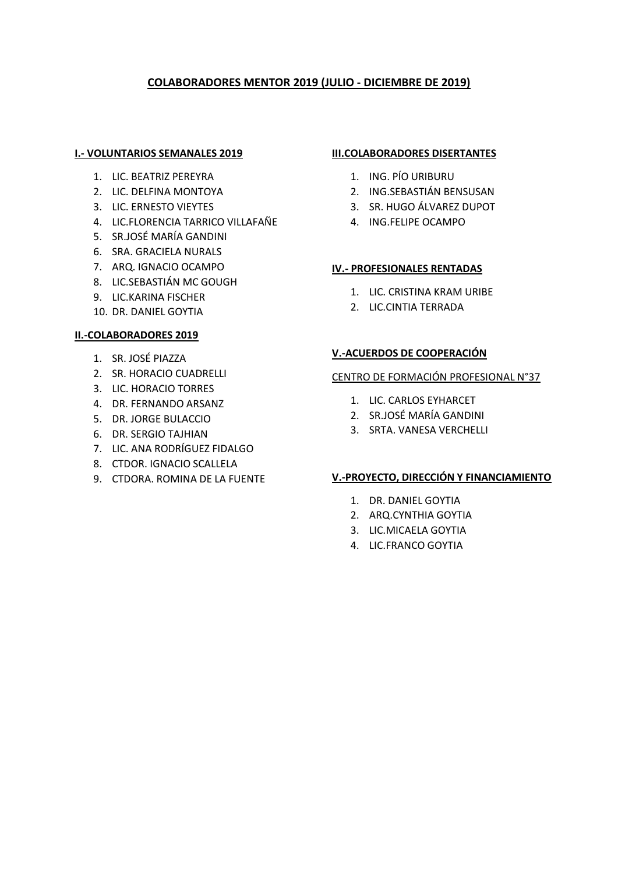# **COLABORADORES MENTOR 2019 (JULIO - DICIEMBRE DE 2019)**

#### **I.- VOLUNTARIOS SEMANALES 2019**

- 1. LIC. BEATRIZ PEREYRA
- 2. LIC. DELFINA MONTOYA
- 3. LIC. ERNESTO VIEYTES
- 4. LIC.FLORENCIA TARRICO VILLAFAÑE
- 5. SR.JOSÉ MARÍA GANDINI
- 6. SRA. GRACIELA NURALS
- 7. ARQ. IGNACIO OCAMPO
- 8. LIC.SEBASTIÁN MC GOUGH
- 9. LIC.KARINA FISCHER
- 10. DR. DANIEL GOYTIA

### **II.-COLABORADORES 2019**

- 1. SR. JOSÉ PIAZZA
- 2. SR. HORACIO CUADRELLI
- 3. LIC. HORACIO TORRES
- 4. DR. FERNANDO ARSANZ
- 5. DR. JORGE BULACCIO
- 6. DR. SERGIO TAJHIAN
- 7. LIC. ANA RODRÍGUEZ FIDALGO
- 8. CTDOR. IGNACIO SCALLELA
- 9. CTDORA. ROMINA DE LA FUENTE

#### **III.COLABORADORES DISERTANTES**

- 1. ING. PÍO URIBURU
- 2. ING.SEBASTIÁN BENSUSAN
- 3. SR. HUGO ÁLVAREZ DUPOT
- 4. ING.FELIPE OCAMPO

### **IV.- PROFESIONALES RENTADAS**

- 1. LIC. CRISTINA KRAM URIBE
- 2. LIC.CINTIA TERRADA

# **V.-ACUERDOS DE COOPERACIÓN**

#### CENTRO DE FORMACIÓN PROFESIONAL N°37

- 1. LIC. CARLOS EYHARCET
- 2. SR.JOSÉ MARÍA GANDINI
- 3. SRTA. VANESA VERCHELLI

### **V.-PROYECTO, DIRECCIÓN Y FINANCIAMIENTO**

- 1. DR. DANIEL GOYTIA
- 2. ARQ.CYNTHIA GOYTIA
- 3. LIC.MICAELA GOYTIA
- 4. LIC.FRANCO GOYTIA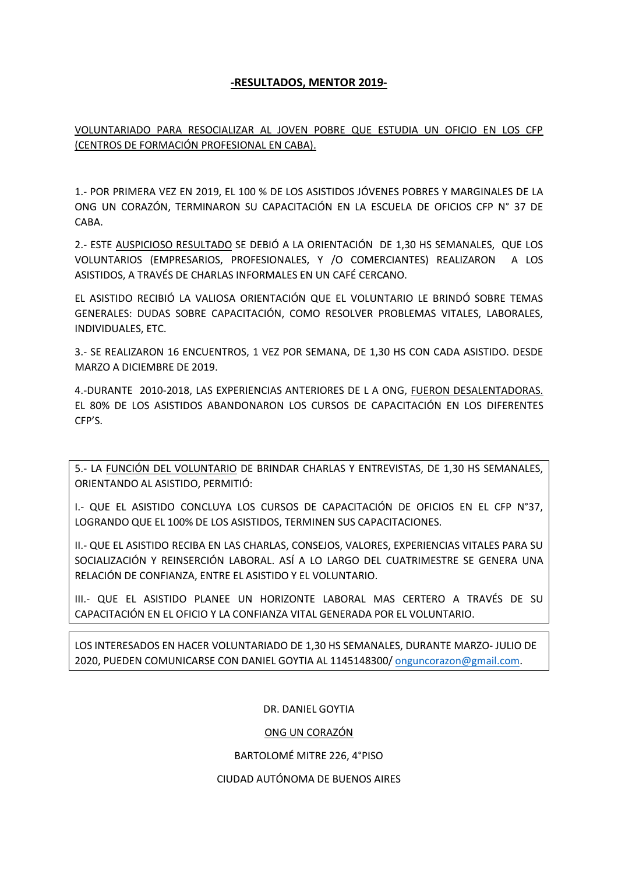# **-RESULTADOS, MENTOR 2019-**

# VOLUNTARIADO PARA RESOCIALIZAR AL JOVEN POBRE QUE ESTUDIA UN OFICIO EN LOS CFP (CENTROS DE FORMACIÓN PROFESIONAL EN CABA).

1.- POR PRIMERA VEZ EN 2019, EL 100 % DE LOS ASISTIDOS JÓVENES POBRES Y MARGINALES DE LA ONG UN CORAZÓN, TERMINARON SU CAPACITACIÓN EN LA ESCUELA DE OFICIOS CFP N° 37 DE CABA.

2.- ESTE AUSPICIOSO RESULTADO SE DEBIÓ A LA ORIENTACIÓN DE 1,30 HS SEMANALES, QUE LOS VOLUNTARIOS (EMPRESARIOS, PROFESIONALES, Y /O COMERCIANTES) REALIZARON A LOS ASISTIDOS, A TRAVÉS DE CHARLAS INFORMALES EN UN CAFÉ CERCANO.

EL ASISTIDO RECIBIÓ LA VALIOSA ORIENTACIÓN QUE EL VOLUNTARIO LE BRINDÓ SOBRE TEMAS GENERALES: DUDAS SOBRE CAPACITACIÓN, COMO RESOLVER PROBLEMAS VITALES, LABORALES, INDIVIDUALES, ETC.

3.- SE REALIZARON 16 ENCUENTROS, 1 VEZ POR SEMANA, DE 1,30 HS CON CADA ASISTIDO. DESDE MARZO A DICIEMBRE DE 2019.

4.-DURANTE 2010-2018, LAS EXPERIENCIAS ANTERIORES DE L A ONG, FUERON DESALENTADORAS. EL 80% DE LOS ASISTIDOS ABANDONARON LOS CURSOS DE CAPACITACIÓN EN LOS DIFERENTES CFP'S.

5.- LA FUNCIÓN DEL VOLUNTARIO DE BRINDAR CHARLAS Y ENTREVISTAS, DE 1,30 HS SEMANALES, ORIENTANDO AL ASISTIDO, PERMITIÓ:

I.- QUE EL ASISTIDO CONCLUYA LOS CURSOS DE CAPACITACIÓN DE OFICIOS EN EL CFP N°37, LOGRANDO QUE EL 100% DE LOS ASISTIDOS, TERMINEN SUS CAPACITACIONES.

II.- QUE EL ASISTIDO RECIBA EN LAS CHARLAS, CONSEJOS, VALORES, EXPERIENCIAS VITALES PARA SU SOCIALIZACIÓN Y REINSERCIÓN LABORAL. ASÍ A LO LARGO DEL CUATRIMESTRE SE GENERA UNA RELACIÓN DE CONFIANZA, ENTRE EL ASISTIDO Y EL VOLUNTARIO.

III.- QUE EL ASISTIDO PLANEE UN HORIZONTE LABORAL MAS CERTERO A TRAVÉS DE SU CAPACITACIÓN EN EL OFICIO Y LA CONFIANZA VITAL GENERADA POR EL VOLUNTARIO.

LOS INTERESADOS EN HACER VOLUNTARIADO DE 1,30 HS SEMANALES, DURANTE MARZO- JULIO DE 2020, PUEDEN COMUNICARSE CON DANIEL GOYTIA AL 1145148300[/ onguncorazon@gmail.com.](mailto:ONGUNCORAZON@GMAIL.COM)

DR. DANIEL GOYTIA

#### ONG UN CORAZÓN

#### BARTOLOMÉ MITRE 226, 4°PISO

#### CIUDAD AUTÓNOMA DE BUENOS AIRES